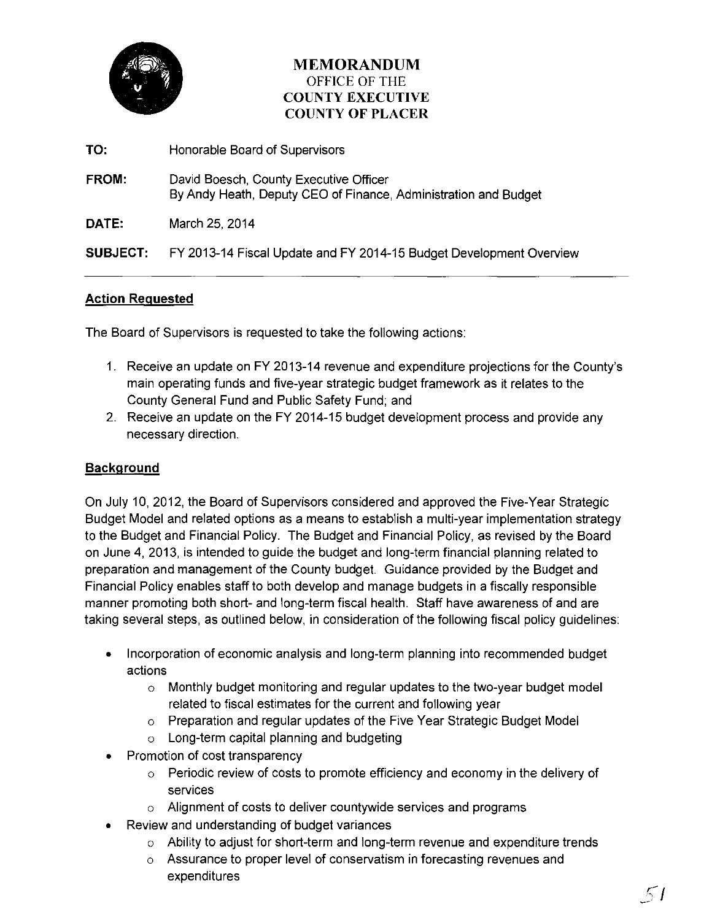

# **MEMORANDUM**  OFFICE OF THE **COUNTY EXECUTIVE COUNTY OF PLACER**

- **TO:** Honorable Board of Supervisors
- **FROM:** David Boesch, County Executive Officer By Andy Heath, Deputy CEO of Finance, Administration and Budget

**DATE:** March 25, 2014

**SUBJECT:** FY 2013-14 Fiscal Update and FY 2014-15 Budget Development Overview

#### **Action Requested**

The Board of Supervisors is requested to take the following actions:

- 1. Receive an update on FY 2013-14 revenue and expenditure projections for the County's main operating funds and five-year strategic budget framework as it relates to the County General Fund and Public Safety Fund; and
- 2. Receive an update on the FY 2014-15 budget development process and provide any necessary direction.

## **Background**

On July 10, 2012, the Board of Supervisors considered and approved the Five-Year Strategic Budget Model and related options as a means to establish a multi-year implementation strategy to the Budget and Financial Policy. The Budget and Financial Policy, as revised by the Board on June 4, 2013, is intended to guide the budget and long-term financial planning related to preparation and management of the County budget. Guidance provided by the Budget and Financial Policy enables staff to both develop and manage budgets in a fiscally responsible manner promoting both short- and long-term fiscal health. Staff have awareness of and are taking several steps, as outlined below, in consideration of the following fiscal policy guidelines:

- Incorporation of economic analysis and long-term planning into recommended budget actions
	- o Monthly budget monitoring and regular updates to the two-year budget model related to fiscal estimates for the current and following year
	- o Preparation and regular updates of the Five Year Strategic Budget Model
	- o Long-term capital planning and budgeting
- Promotion of cost transparency
	- o Periodic review of costs to promote efficiency and economy in the delivery of services
	- o Alignment of costs to deliver countywide services and programs
- Review and understanding of budget variances
	- o Ability to adjust for short-term and long-term revenue and expenditure trends
	- o Assurance to proper level of conservatism in forecasting revenues and expenditures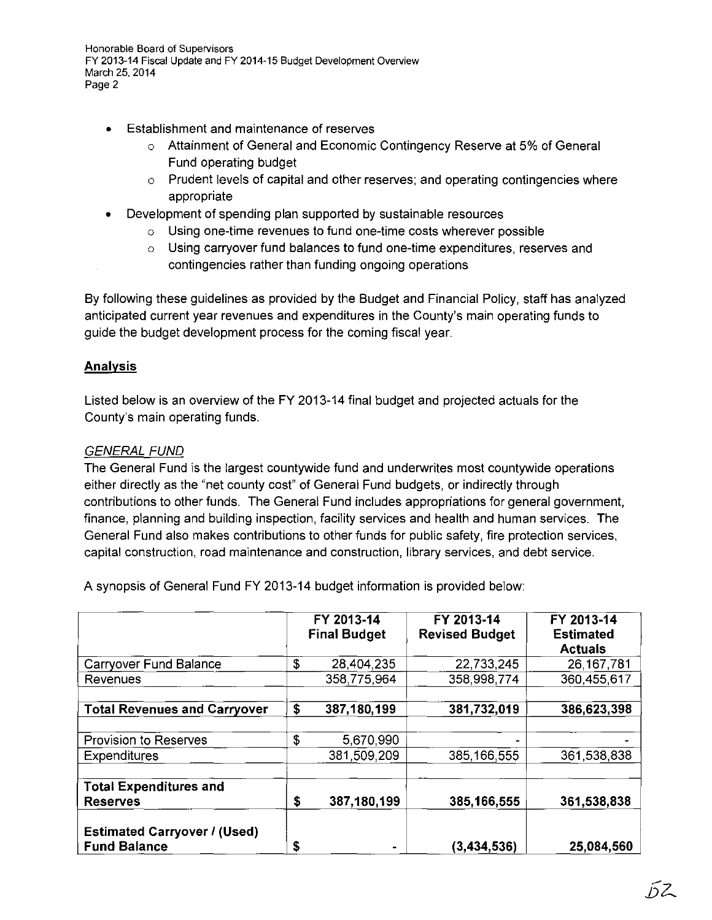- **<sup>o</sup>**Establishment and maintenance of reserves
	- o Attainment of General and Economic Contingency Reserve at 5% of General Fund operating budget
	- o Prudent levels of capital and other reserves; and operating contingencies where appropriate
- **o** Development of spending plan supported by sustainable resources
	- o Using one-time revenues to fund one-time costs wherever possible
	- o Using carryover fund balances to fund one-time expenditures, reserves and contingencies rather than funding ongoing operations

By following these guidelines as provided by the Budget and Financial Policy, staff has analyzed anticipated current year revenues and expenditures in the County's main operating funds to guide the budget development process for the coming fiscal year.

## **Analysis**

Listed below is an overview of the FY 2013-14 final budget and projected actuals for the County's main operating funds.

### GENERAL FUND

The General Fund is the largest countywide fund and underwrites most countywide operations either directly as the "net county cost" of General Fund budgets, or indirectly through contributions to other funds. The General Fund includes appropriations for general government, finance, planning and building inspection, facility services and health and human services. The General Fund also makes contributions to other funds for public safety, fire protection services, capital construction, road maintenance and construction, library services, and debt service.

A synopsis of General Fund FY 2013-14 budget information is provided below:

|                                                            | FY 2013-14<br><b>Final Budget</b> | FY 2013-14<br><b>Revised Budget</b> | FY 2013-14<br><b>Estimated</b> |
|------------------------------------------------------------|-----------------------------------|-------------------------------------|--------------------------------|
|                                                            |                                   |                                     | <b>Actuals</b>                 |
| Carryover Fund Balance                                     | \$<br>28,404.235                  | 22,733,245                          | 26, 167, 781                   |
| Revenues                                                   | 358,775,964                       | 358,998,774                         | 360,455,617                    |
|                                                            |                                   |                                     |                                |
| <b>Total Revenues and Carryover</b>                        | \$<br>387, 180, 199               | 381,732,019                         | 386,623,398                    |
|                                                            |                                   |                                     |                                |
| Provision to Reserves                                      | \$<br>5,670,990                   |                                     |                                |
| <b>Expenditures</b>                                        | 381,509,209                       | 385, 166, 555                       | 361,538,838                    |
|                                                            |                                   |                                     |                                |
| <b>Total Expenditures and</b>                              |                                   |                                     |                                |
| <b>Reserves</b>                                            | \$<br>387,180,199                 | 385,166,555                         | 361,538,838                    |
| <b>Estimated Carryover / (Used)</b><br><b>Fund Balance</b> | \$<br>٠                           | (3, 434, 536)                       | 25,084,560                     |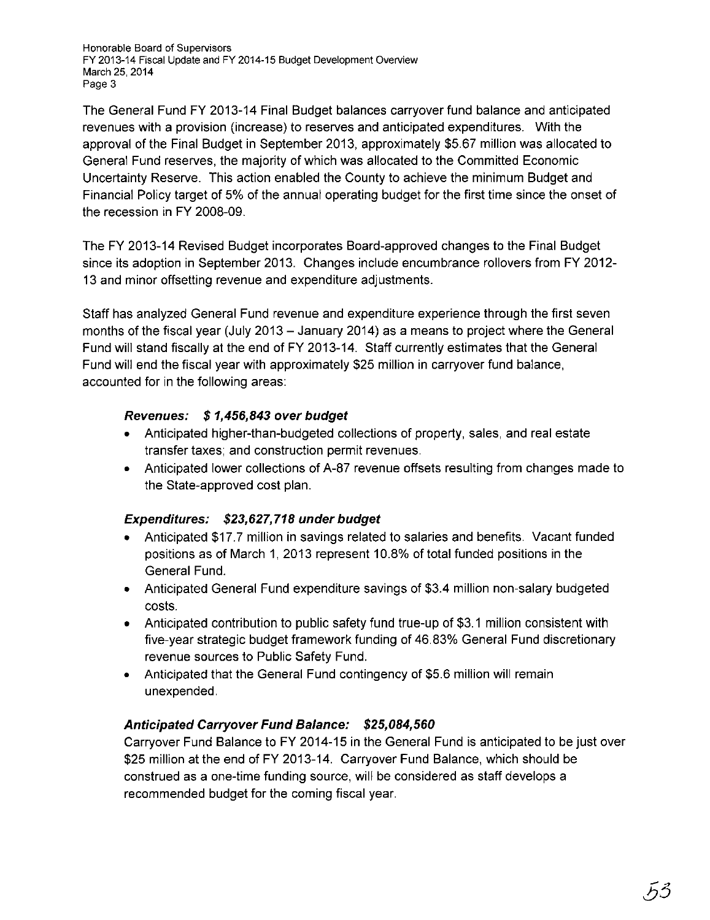The General Fund FY 2013-14 Final Budget balances carryover fund balance and anticipated revenues with a provision (increase) to reserves and anticipated expenditures. With the approval of the Final Budget in September 2013, approximately \$5.67 million was allocated to General Fund reserves, the majority of which was allocated to the Committed Economic Uncertainty Reserve. This action enabled the County to achieve the minimum Budget and Financial Policy target of 5% of the annual operating budget for the first time since the onset of the recession in FY 2008-09.

The FY 2013-14 Revised Budget incorporates Board-approved changes to the Final Budget since its adoption in September 2013. Changes include encumbrance rollovers from FY 2012-13 and minor offsetting revenue and expenditure adjustments.

Staff has analyzed General Fund revenue and expenditure experience through the first seven months of the fiscal year (July 2013- January 2014) as a means to project where the General Fund will stand fiscally at the end of FY 2013-14. Staff currently estimates that the General Fund will end the fiscal year with approximately \$25 million in carryover fund balance, accounted for in the following areas:

## **Revenues: \$ 1,456,843 over budget**

- Anticipated higher-than-budgeted collections of property, sales, and real estate transfer taxes; and construction permit revenues.
- Anticipated lower collections of A-87 revenue offsets resulting from changes made to the State-approved cost plan.

## **Expenditures: \$23,627, 718 under budget**

- Anticipated \$17.7 million in savings related to salaries and benefits. Vacant funded positions as of March 1, 2013 represent 10.8% of total funded positions in the General Fund.
- Anticipated General Fund expenditure savings of \$3.4 million non-salary budgeted costs.
- Anticipated contribution to public safety fund true-up of \$3.1 million consistent with five-year strategic budget framework funding of 46.83% General Fund discretionary revenue sources to Public Safety Fund.
- Anticipated that the General Fund contingency of \$5.6 million will remain unexpended.

## **Anticipated Carryover Fund Balance: \$25,084,560**

Carryover Fund Balance to FY 2014-15 in the General Fund is anticipated to be just over \$25 million at the end of FY 2013-14. Carryover Fund Balance, which should be construed as a one-time funding source, will be considered as staff develops a recommended budget for the coming fiscal year.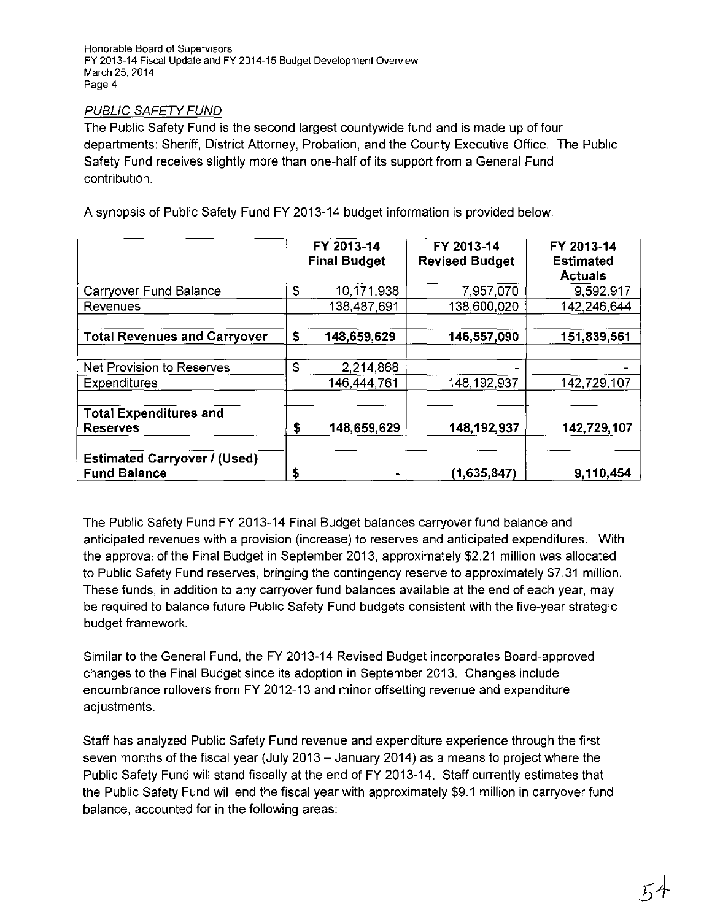### PUBLIC SAFETY FUND

The Public Safety Fund is the second largest countywide fund and is made up of four departments: Sheriff, District Attorney, Probation, and the County Executive Office. The Public Safety Fund receives slightly more than one-half of its support from a General Fund contribution.

A synopsis of Public Safety Fund FY 2013-14 budget information is provided below:

|                                                            | FY 2013-14<br><b>Final Budget</b> | FY 2013-14<br><b>Revised Budget</b> | FY 2013-14<br><b>Estimated</b><br><b>Actuals</b> |
|------------------------------------------------------------|-----------------------------------|-------------------------------------|--------------------------------------------------|
| Carryover Fund Balance                                     | \$<br>10,171,938                  | 7,957,070                           | 9,592,917                                        |
| Revenues                                                   | 138,487,691                       | 138,600,020                         | 142,246,644                                      |
| <b>Total Revenues and Carryover</b>                        | \$<br>148,659,629                 | 146,557,090                         | 151,839,561                                      |
| Net Provision to Reserves                                  | \$<br>2.214,868                   |                                     |                                                  |
| Expenditures                                               | 146 444 761                       | 148, 192, 937                       | 142,729,107                                      |
| <b>Total Expenditures and</b><br><b>Reserves</b>           | \$<br>148,659,629                 | 148, 192, 937                       | 142,729,107                                      |
| <b>Estimated Carryover / (Used)</b><br><b>Fund Balance</b> | \$                                | (1,635,847)                         | 9,110,454                                        |

The Public Safety Fund FY 2013-14 Final Budget balances carryover fund balance and anticipated revenues with a provision (increase) to reserves and anticipated expenditures. With the approval of the Final Budget in September 2013, approximately \$2.21 million was allocated to Public Safety Fund reserves, bringing the contingency reserve to approximately \$7.31 million. These funds, in addition to any carryover fund balances available at the end of each year, may be required to balance future Public Safety Fund budgets consistent with the five-year strategic budget framework.

Similar to the General Fund, the FY 2013-14 Revised Budget incorporates Board-approved changes to the Final Budget since its adoption in September 2013. Changes include encumbrance rollovers from FY 2012-13 and minor offsetting revenue and expenditure adjustments.

Staff has analyzed Public Safety Fund revenue and expenditure experience through the first seven months of the fiscal year (July 2013- January 2014) as a means to project where the Public Safety Fund will stand fiscally at the end of FY 2013-14. Staff currently estimates that the Public Safety Fund will end the fiscal year with approximately \$9.1 million in carryover fund balance, accounted for in the following areas: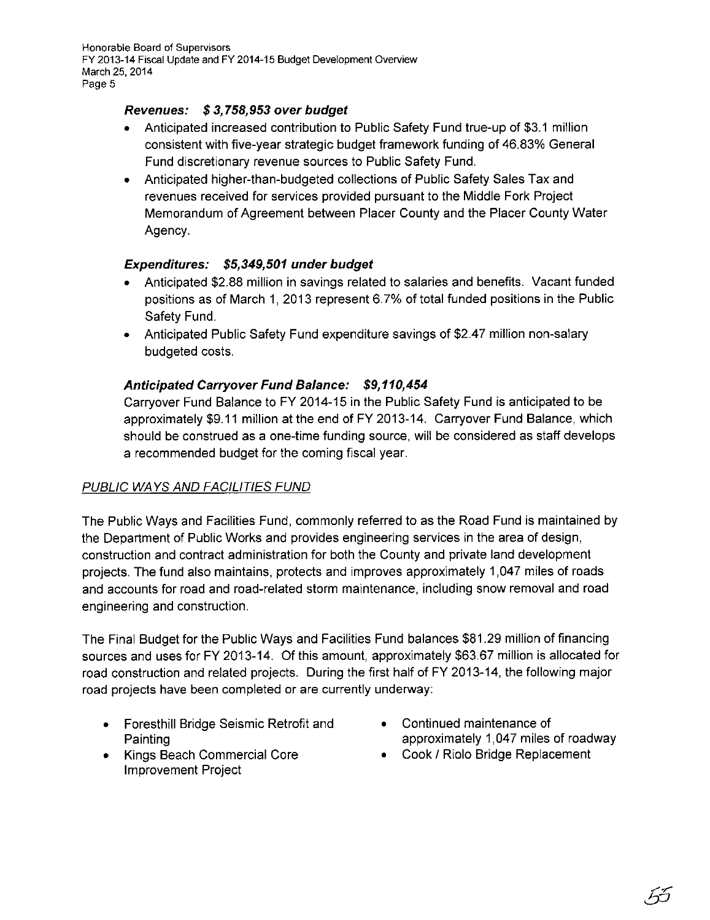### **Revenues: \$ 3, 758,953 over budget**

- Anticipated increased contribution to Public Safety Fund true-up of \$3.1 million consistent with five-year strategic budget framework funding of 46.83% General Fund discretionary revenue sources to Public Safety Fund.
- Anticipated higher-than-budgeted collections of Public Safety Sales Tax and revenues received for services provided pursuant to the Middle Fork Project Memorandum of Agreement between Placer County and the Placer County Water Agency.

### **Expenditures: \$5,349,501 under budget**

- Anticipated \$2.88 million in savings related to salaries and benefits. Vacant funded positions as of March 1, 2013 represent 6. 7% of total funded positions in the Public Safety Fund.
- Anticipated Public Safety Fund expenditure savings of \$2.47 million non-salary budgeted costs.

### **Anticipated Carryover Fund Balance: \$9,110,454**

Carryover Fund Balance to FY 2014-15 in the Public Safety Fund is anticipated to be approximately \$9.11 million at the end of FY 2013-14. Carryover Fund Balance, which should be construed as a one-time funding source, will be considered as staff develops a recommended budget for the coming fiscal year.

## PUBLIC WAYS AND FACILITIES FUND

The Public Ways and Facilities Fund, commonly referred to as the Road Fund is maintained by the Department of Public Works and provides engineering services in the area of design, construction and contract administration for both the County and private land development projects. The fund also maintains, protects and improves approximately 1,047 miles of roads and accounts for road and road-related storm maintenance, including snow removal and road engineering and construction.

The Final Budget for the Public Ways and Facilities Fund balances \$81.29 million of financing sources and uses for FY 2013-14. Of this amount, approximately \$63.67 million is allocated for road construction and related projects. During the first half of FY 2013-14, the following major road projects have been completed or are currently underway:

- Foresthill Bridge Seismic Retrofit and Painting
- Kings Beach Commercial Core Improvement Project
- Continued maintenance of approximately 1,047 miles of roadway
- Cook / Riolo Bridge Replacement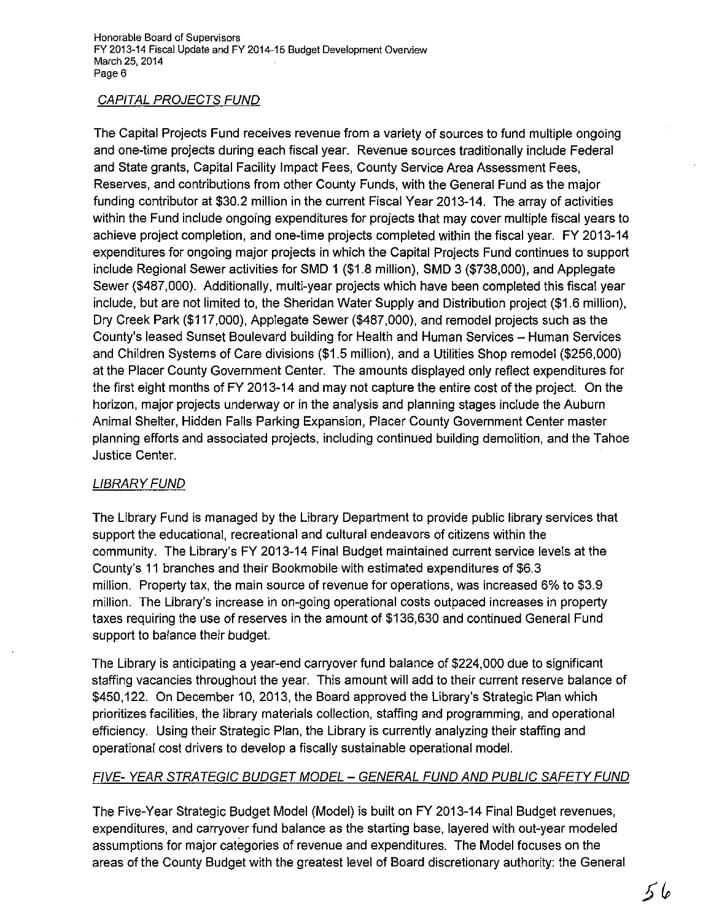## CAPITAL PROJECTS FUND

The Capital Projects Fund receives revenue from a variety of sources to fund multiple ongoing and one-time projects during each fiscal year. Revenue sources traditionally include Federal and State grants, Capital Facility Impact Fees, County Service Area Assessment Fees, Reserves, and contributions from other County Funds, with the General Fund as the major funding contributor at \$30.2 million in the current Fiscal Year 2013-14. The array of activities within the Fund include ongoing expenditures for projects that may cover multiple fiscal years to achieve project completion, and one-time projects completed within the fiscal year. FY 2013-14 expenditures for ongoing major projects in which the Capital Projects Fund continues to support include Regional Sewer activities for SMD 1 (\$1.8 million}, SMD 3 (\$738,000), and Applegate Sewer (\$487,000). Additionally, multi-year projects which have been completed this fiscal year include, but are not limited to, the Sheridan Water Supply and Distribution project (\$1.6 million), Dry Creek Park (\$117,000), Applegate Sewer (\$487,000), and remodel projects such as the County's leased Sunset Boulevard building for Health and Human Services- Human Services and Children Systems of Care divisions (\$1.5 million), and a Utilities Shop remodel (\$256,000) at the Placer County Government Center. The amounts displayed only reflect expenditures for the first eight months of FY 2013-14 and may not capture the entire cost of the project. On the horizon, major projects underway or in the analysis and planning stages include the Auburn Animal Shelter, Hidden Falls Parking Expansion, Placer County Government Center master planning efforts and associated projects, including continued building demolition, and the Tahoe Justice Center.

## LIBRARY FUND

The Library Fund is managed by the Library Department to provide public library services that support the educational, recreational and cultural endeavors of citizens within the community. The Library's FY 2013-14 Final Budget maintained current service levels at the County's 11 branches and their Bookmobile with estimated expenditures of \$6.3 million. Property tax, the main source of revenue for operations, was increased 6% to \$3.9 million. The Library's increase in on-going operational costs outpaced increases in property taxes requiring the use of reserves in the amount of \$136,630 and continued General Fund support to balance their budget.

The Library is anticipating a year-end carryover fund balance of \$224,000 due to significant staffing vacancies throughout the year. This amount will add to their current reserve balance of \$450,122. On December 10, 2013, the Board approved the Library's Strategic Plan which prioritizes facilities, the library materials collection, staffing and programming, and operational efficiency. Using their Strategic Plan, the Library is currently analyzing their staffing and operational cost drivers to develop a fiscally sustainable operational model.

# FIVE- YEAR STRATEGIC BUDGET MODEL - GENERAL FUND AND PUBLIC SAFETY FUND

The Five-Year Strategic Budget Model (Model) is built on FY 2013-14 Final Budget revenues, expenditures, and carryover fund balance as the starting base, layered with out-year modeled assumptions for major categories of revenue and expenditures. The Model focuses on the areas of the County Budget with the greatest level of Board discretionary authority: the General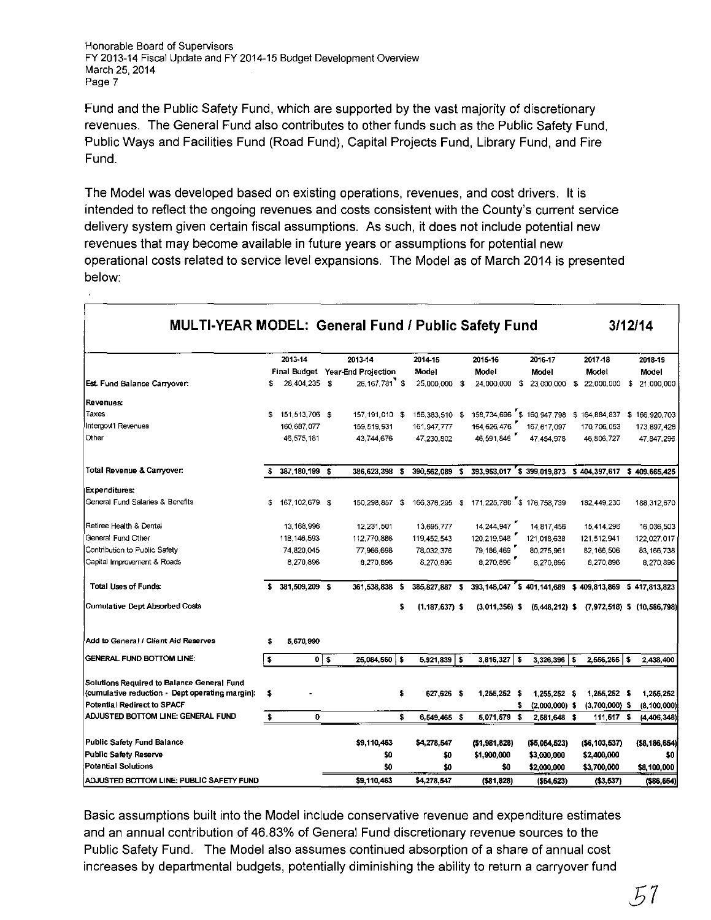Fund and the Public Safety Fund, which are supported by the vast majority of discretionary revenues. The General Fund also contributes to other funds such as the Public Safety Fund, Public Ways and Facilities Fund (Road Fund), Capital Projects Fund, Library Fund, and Fire Fund.

The Model was developed based on existing operations, revenues, and cost drivers. It is intended to reflect the ongoing revenues and costs consistent with the County's current service delivery system given certain fiscal assumptions. As such, it does not include potential new revenues that may become available in future years or assumptions for potential new operational costs related to service level expansions. The Model as of March 2014 is presented below:

| MULTI-YEAR MODEL: General Fund / Public Safety Fund |    |                  |          |                                  |     | 3/12/14            |     |                                                          |      |                             |    |                                 |    |                  |
|-----------------------------------------------------|----|------------------|----------|----------------------------------|-----|--------------------|-----|----------------------------------------------------------|------|-----------------------------|----|---------------------------------|----|------------------|
|                                                     |    | 2013-14          |          | 2013-14                          |     | 2014-15            |     | 2015-16                                                  |      | 2016-17                     |    | 2017-18                         |    | 2018-19          |
|                                                     |    |                  |          | Final Budget Year-End Projection |     | Model              |     | Model                                                    |      | Model                       |    | Model                           |    | Model            |
| Est. Fund Balance Carryover:                        | s. | 28,404,235 \$    |          | 26.167.781 \$                    |     | 25,000,000 \$      |     | 24,000,000                                               |      | \$ 23,000,000               | s. | 22,000,000                      | \$ | 21,000,000       |
| Revenues:                                           |    |                  |          |                                  |     |                    |     |                                                          |      |                             |    |                                 |    |                  |
| Taxes                                               | \$ | 151,513,706 \$   |          | 157,191,010 \$                   |     | 156,383,510 \$     |     | 158,734,696 \$160,947,798 \$164,884,837 \$166,920,703    |      |                             |    |                                 |    |                  |
| Intergovt1 Revenues                                 |    | 160,687,077      |          | 159, 519, 931                    |     | 161, 947, 777      |     | 164,626,476                                              |      | 167,617,097                 |    | 170, 706, 053                   |    | 173 897,426      |
| Other                                               |    | 46,575,181       |          | 43,744,676                       |     | 47.230.802         |     | 46,591,846                                               |      | 47,454,978                  |    | 46.806.727                      |    | 47,847,296       |
| Total Revenue & Carryover:                          |    | 387,180,199 \$   |          | 386,623,398                      | \$  | 390,562,089        | s   | 393,953,017 \$ 399,019,873 \$ 404,397,617 \$ 409,665,425 |      |                             |    |                                 |    |                  |
| Expenditures:                                       |    |                  |          |                                  |     |                    |     |                                                          |      |                             |    |                                 |    |                  |
| General Fund Salaries & Benefits                    | \$ | 167, 102, 679 \$ |          | 150,298,857 \$                   |     |                    |     | 166, 376, 295 \$171, 225, 788 \$176, 758, 739            |      |                             |    | 182,449.230                     |    | 188,312,670      |
| Retiree Health & Dental                             |    | 13, 168, 996     |          | 12,231,501                       |     | 13.695.777         |     | 14,244,947                                               |      | 14,817,456                  |    | 15,414,296                      |    | 16,036,503       |
| General Fund Other                                  |    | 118, 146, 593    |          | 112,770,886                      |     | 119 452 543        |     | 120,219,946                                              |      | 121,018,638                 |    | 121 512 941                     |    | 122,027,017      |
| Contribution to Public Safety                       |    | 74,820,045       |          | 77,966,698                       |     | 78 032 376         |     | 79,186,469                                               |      | 80,275,961                  |    | 82,166,506                      |    | 83 166 738       |
| Capital Improvement & Roads                         |    | 8.270.896        |          | 8.270.896                        |     | 8,270,896          |     | 8,270,896                                                |      | 8,270,896                   |    | 8,270,896                       |    | 8,270,896        |
| <b>Total Uses of Funds:</b>                         |    | 381,509,209 \$   |          | 361,538,838 \$                   |     | 385.827.887 \$     |     | 393.148.047                                              |      | \$401.141.689 \$409.813.869 |    |                                 |    | \$417,813,823    |
| <b>Cumulative Dept Absorbed Costs</b>               |    |                  |          |                                  | s   | $(1, 187, 637)$ \$ |     | $(3.011.356)$ \$                                         |      | $(5,448,212)$ \$            |    | $(7,972,518)$ \$ $(10,586,798)$ |    |                  |
| Add to General / Client Aid Reserves                | s  | 5,670,990        |          |                                  |     |                    |     |                                                          |      |                             |    |                                 |    |                  |
| <b>GENERAL FUND BOTTOM LINE:</b>                    | s  |                  | $0$   \$ | 25,084,560                       | l S | 5,921,839          | -\$ | $3,816,327$ \$                                           |      | $3,326,396$   \$            |    | $2,556,265$ \$                  |    | 2,438,400        |
| Solutions Required to Balance General Fund          |    |                  |          |                                  |     |                    |     |                                                          |      |                             |    |                                 |    |                  |
| (cumulative reduction - Dept operating margin):     | \$ |                  |          |                                  | \$  | 627,626 \$         |     | 1,255,252 \$                                             |      | 1,255.252 \$                |    | $1,255,252$ \$                  |    | 1,255,252        |
| <b>Potential Redirect to SPACF</b>                  |    |                  |          |                                  |     |                    |     |                                                          | \$   | $(2,000,000)$ \$            |    | $(3,700,000)$ \$                |    | (8, 100, 000)    |
| ADJUSTED BOTTOM LINE: GENERAL FUND                  | \$ | $\mathbf 0$      |          |                                  | \$  | 6.549,465 \$       |     | 5,071.579                                                | - \$ | 2,581.648 \$                |    | 111,517                         | -S | (4, 406, 348)    |
| <b>Public Safety Fund Balance</b>                   |    |                  |          | \$9,110,463                      |     | \$4,278,547        |     | (1,981,828)                                              |      | (55,054,523)                |    | (56, 103, 537)                  |    | ( \$8, 186, 654) |
| <b>Public Safety Reserve</b>                        |    |                  |          | \$0                              |     | \$0                |     | \$1,900,000                                              |      | \$3,000,000                 |    | \$2,400,000                     |    | \$0              |
| Potential Solutions                                 |    |                  |          | \$0                              |     | \$0                |     | \$0                                                      |      | \$2,000,000                 |    | \$3,700,000                     |    | \$8,100,000      |
| ADJUSTED BOTTOM LINE: PUBLIC SAFETY FUND            |    |                  |          | \$9,110,463                      |     | \$4,278.547        |     | ( \$81.828)                                              |      | (554, 523)                  |    | (53.537)                        |    | ( \$86, 664)     |

Basic assumptions built into the Model include conservative revenue and expenditure estimates and an annual contribution of 46.83% of General Fund discretionary revenue sources to the Public Safety Fund. The Model also assumes continued absorption of a share of annual cost increases by departmental budgets, potentially diminishing the ability to return a carryover fund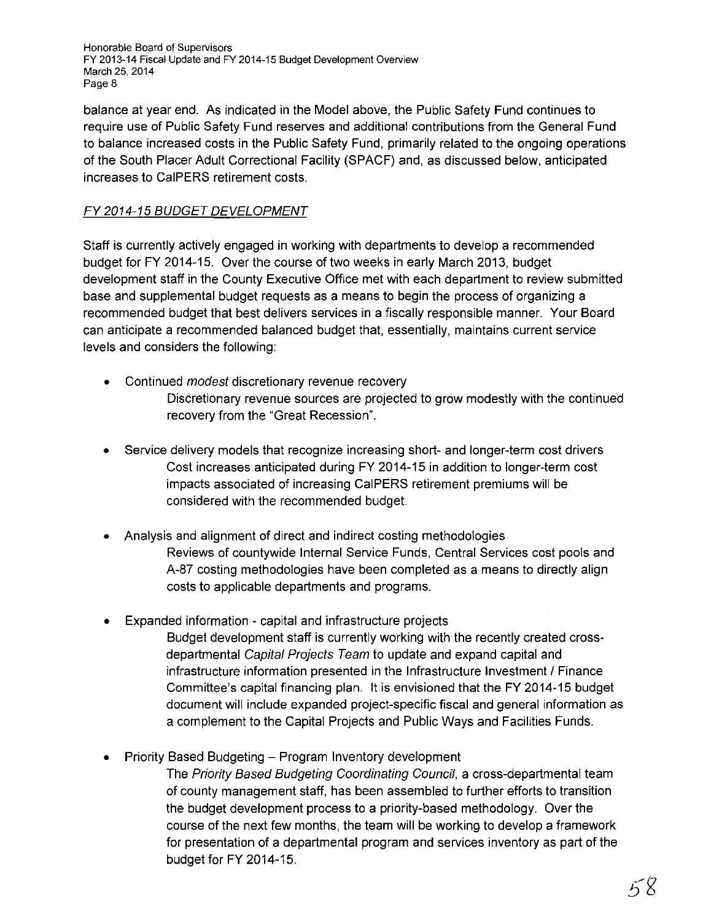balance at year end. As indicated in the Model above, the Public Safety Fund continues to require use of Public Safety Fund reserves and additional contributions from the General Fund to balance increased costs in the Public Safety Fund, primarily related to the ongoing operations of the South Placer Adult Correctional Facility (SPACF) and, as discussed below, anticipated increases to CaiPERS retirement costs.

## FY 2014-15 BUDGET DEVELOPMENT

Staff is currently actively engaged in working with departments to develop a recommended budget for FY 2014-15. Over the course of two weeks in early March 2013, budget development staff in the County Executive Office met with each department to review submitted base and supplemental budget requests as a means to begin the process of organizing a recommended budget that best delivers services in a fiscally responsible manner. Your Board can anticipate a recommended balanced budget that, essentially, maintains current service levels and considers the following:

- Continued *modest* discretionary revenue recovery Discretionary revenue sources are projected to grow modestly with the continued recovery from the "Great Recession".
- Service delivery models that recognize increasing short- and longer-term cost drivers Cost increases anticipated during FY 2014-15 in addition to longer-term cost impacts associated of increasing CaiPERS retirement premiums will be considered with the recommended budget.
- Analysis and alignment of direct and indirect costing methodologies Reviews of countywide Internal Service Funds, Central Services cost pools and A-87 costing methodologies have been completed as a means to directly align costs to applicable departments and programs.
- Expanded information capital and infrastructure projects Budget development staff is currently working with the recently created crossdepartmental Capital Projects Team to update and expand capital and infrastructure information presented in the Infrastructure Investment / Finance Committee's capital financing plan. It is envisioned that the FY 2014-15 budget document will include expanded project-specific fiscal and general information as a complement to the Capital Projects and Public Ways and Facilities Funds.
- Priority Based Budgeting- Program Inventory development

The Priority Based Budgeting Coordinating Council, a cross-departmental team of county management staff, has been assembled to further efforts to transition the budget development process to a priority-based methodology. Over the course of the next few months, the team will be working to develop a framework for presentation of a departmental program and services inventory as part of the budget for FY 2014-15.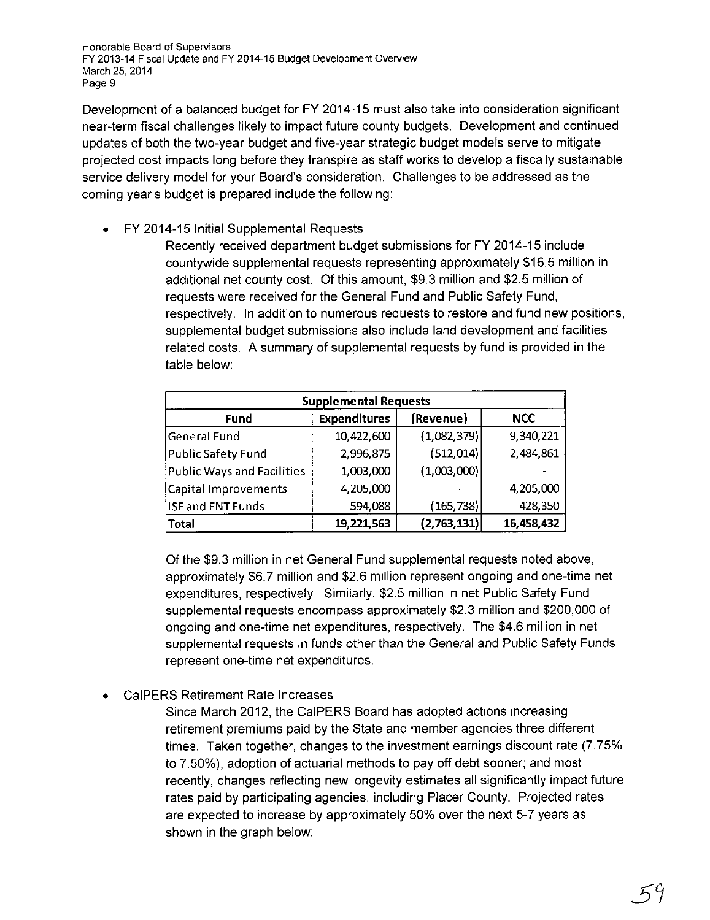Development of a balanced budget for FY 2014-15 must also take into consideration significant near-term fiscal challenges likely to impact future county budgets. Development and continued updates of both the two-year budget and five-year strategic budget models serve to mitigate projected cost impacts long before they transpire as staff works to develop a fiscally sustainable service delivery model for your Board's consideration. Challenges to be addressed as the coming year's budget is prepared include the following:

• FY 2014-15 Initial Supplemental Requests

Recently received department budget submissions for FY 2014-15 include countywide supplemental requests representing approximately \$16.5 million in additional net county cost. Of this amount, \$9.3 million and \$2.5 million of requests were received for the General Fund and Public Safety Fund, respectively. In addition to numerous requests to restore and fund new positions, supplemental budget submissions also include land development and facilities related costs. A summary of supplemental requests by fund is provided in the table below:

| <b>Supplemental Requests</b> |                     |             |            |  |  |  |  |  |
|------------------------------|---------------------|-------------|------------|--|--|--|--|--|
| Fund                         | <b>Expenditures</b> | (Revenue)   | <b>NCC</b> |  |  |  |  |  |
| General Fund                 | 10,422,600          | (1,082,379) | 9,340,221  |  |  |  |  |  |
| Public Safety Fund           | 2,996,875           | (512, 014)  | 2,484,861  |  |  |  |  |  |
| Public Ways and Facilities   | 1,003,000           | (1,003,000) |            |  |  |  |  |  |
| Capital Improvements         | 4,205,000           |             | 4,205,000  |  |  |  |  |  |
| <b>ISF and ENT Funds</b>     | 594,088             | (165, 738)  | 428,350    |  |  |  |  |  |
| <b>Total</b>                 | 19,221,563          | (2,763,131) | 16,458,432 |  |  |  |  |  |

Of the \$9.3 million in net General Fund supplemental requests noted above, approximately \$6.7 million and \$2.6 million represent ongoing and one-time net expenditures, respectively. Similarly, \$2.5 million in net Public Safety Fund supplemental requests encompass approximately \$2.3 million and \$200,000 of ongoing and one-time net expenditures, respectively. The \$4.6 million in net supplemental requests in funds other than the General and Public Safety Funds represent one-time net expenditures.

• CaiPERS Retirement Rate Increases

Since March 2012, the CaiPERS Board has adopted actions increasing retirement premiums paid by the State and member agencies three different times. Taken together, changes to the investment earnings discount rate (7.75% to 7.50%), adoption of actuarial methods to pay off debt sooner; and most recently, changes reflecting new longevity estimates all significantly impact future rates paid by participating agencies, including Placer County. Projected rates are expected to increase by approximately 50% over the next 5-7 years as shown in the graph below: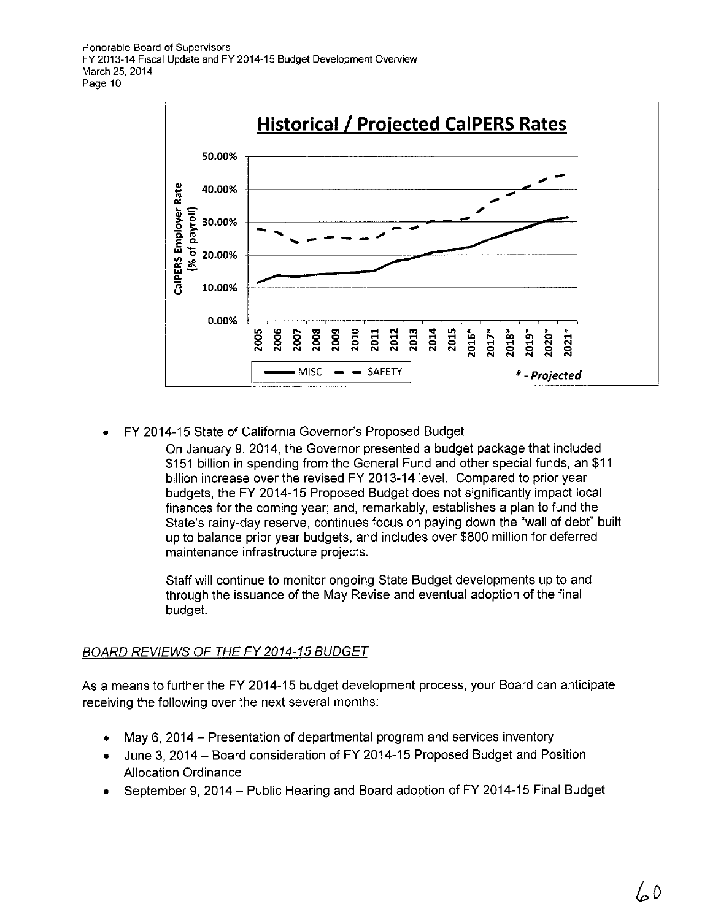

• FY 2014-15 State of California Governor's Proposed Budget

On January 9, 2014, the Governor presented a budget package that included \$151 billion in spending from the General Fund and other special funds, an \$11 billion increase over the revised FY 2013-14 level. Compared to prior year budgets, the FY 2014-15 Proposed Budget does not significantly impact local finances for the coming year; and, remarkably, establishes a plan to fund the State's rainy-day reserve, continues focus on paying down the "wall of debt" built up to balance prior year budgets, and includes over \$800 million for deferred maintenance infrastructure projects.

Staff will continue to monitor ongoing State Budget developments up to and through the issuance of the May Revise and eventual adoption of the final budget.

## BOARD REVIEWS OF THE FY 2014-15 BUDGET

As a means to further the FY 2014-15 budget development process, your Board can anticipate receiving the following over the next several months:

- May 6, 2014 Presentation of departmental program and services inventory
- June 3, 2014- Board consideration of FY 2014-15 Proposed Budget and Position Allocation Ordinance
- September 9, 2014- Public Hearing and Board adoption of FY 2014-15 Final Budget